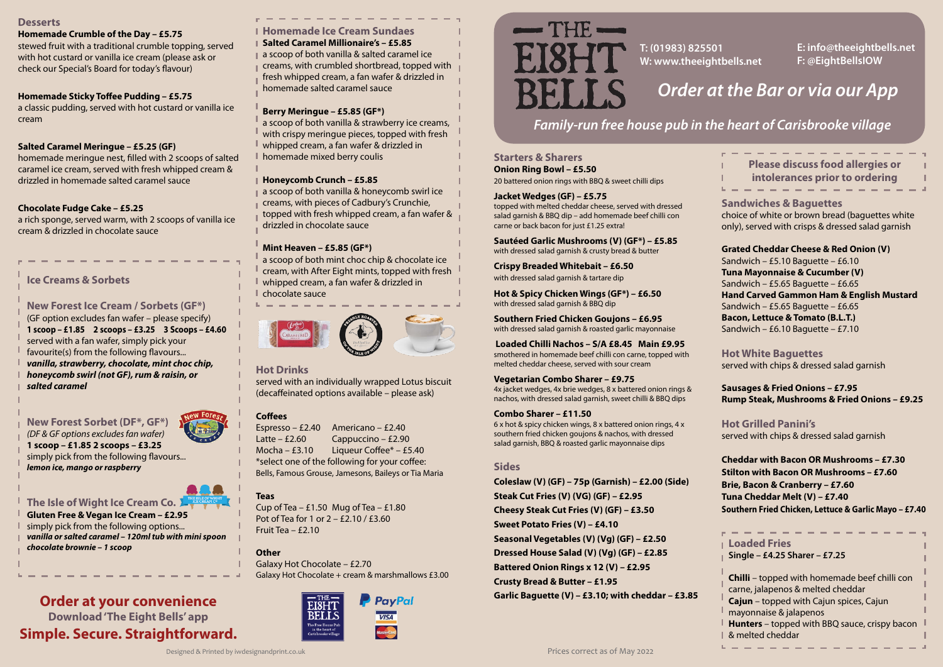**Cheddar with Bacon OR Mushrooms – £7.30 Stilton with Bacon OR Mushrooms – £7.60 Brie, Bacon & Cranberry – £7.60 Tuna Cheddar Melt (V) – £7.40 Southern Fried Chicken, Lettuce & Garlic Mayo – £7.40**

**Starters & Sharers Onion Ring Bowl – £5.50**  20 battered onion rings with BBQ & sweet chilli dips

#### **Jacket Wedges (GF) – £5.75**

topped with melted cheddar cheese, served with dressed salad garnish & BBQ dip – add homemade beef chilli con carne or back bacon for just £1.25 extra!

**Sautéed Garlic Mushrooms (V) (GF\*) – £5.85**  with dressed salad garnish & crusty bread & butter

**Crispy Breaded Whitebait – £6.50**  with dressed salad garnish & tartare dip

**Hot & Spicy Chicken Wings (GF\*) – £6.50**  with dressed salad garnish & BBQ dip

**Southern Fried Chicken Goujons – £6.95**  with dressed salad garnish & roasted garlic mayonnaise

Cup of Tea  $-$  £1.50 Mug of Tea  $-$  £1.80 Pot of Tea for 1 or 2 – £2.10 / £3.60 Fruit Tea – £2.10

**Loaded Chilli Nachos – S/A £8.45 Main £9.95**  smothered in homemade beef chilli con carne, topped with melted cheddar cheese, served with sour cream

#### **Vegetarian Combo Sharer – £9.75**

4x jacket wedges, 4x brie wedges, 8 x battered onion rings & nachos, with dressed salad garnish, sweet chilli & BBQ dips

#### **Combo Sharer – £11.50**

6 x hot & spicy chicken wings, 8 x battered onion rings, 4 x southern fried chicken goujons & nachos, with dressed salad garnish, BBQ & roasted garlic mayonnaise dips

#### **Sides**

| <b>Please discuss food allergies or</b><br>I        |
|-----------------------------------------------------|
| intolerances prior to ordering                      |
|                                                     |
| <b>Sandwiches &amp; Baguettes</b>                   |
| choice of white or brown bread (baguettes white     |
| only), served with crisps & dressed salad garnish   |
| <b>Grated Cheddar Cheese &amp; Red Onion (V)</b>    |
| Sandwich $-$ £5.10 Baguette $-$ £6.10               |
| <b>Tuna Mayonnaise &amp; Cucumber (V)</b>           |
| Sandwich - £5.65 Baguette - £6.65                   |
| <b>Hand Carved Gammon Ham &amp; English Mustard</b> |
| Sandwich - £5.65 Baguette - £6.65                   |
| <b>Bacon, Lettuce &amp; Tomato (B.L.T.)</b>         |
| Sandwich - £6.10 Baguette - £7.10                   |
| <b>Hot White Baguettes</b>                          |
| served with chips & dressed salad garnish           |
| <b>Sausages &amp; Fried Onions - £7.95</b>          |
| Rump Steak, Mushrooms & Fried Onions - £9.25        |
| <b>Hot Grilled Panini's</b>                         |
| served with chips & dressed salad garnish           |
|                                                     |

**Coleslaw (V) (GF) – 75p (Garnish) – £2.00 (Side) Steak Cut Fries (V) (VG) (GF) – £2.95 Cheesy Steak Cut Fries (V) (GF) – £3.50 Sweet Potato Fries (V) – £4.10 Seasonal Vegetables (V) (Vg) (GF) – £2.50 Dressed House Salad (V) (Vg) (GF) – £2.85 Battered Onion Rings x 12 (V) – £2.95 Crusty Bread & Butter – £1.95 Garlic Baguette (V) – £3.10; with cheddar – £3.85**

a scoop of both vanilla & honeycomb swirl ice creams, with pieces of Cadbury's Crunchie, topped with fresh whipped cream, a fan wafer & drizzled in chocolate sauce

#### **Hot Drinks**

served with an individually wrapped Lotus biscuit (decaffeinated options available – please ask)

#### **Coffees**

Espresso – £2.40 Americano – £2.40 Latte – £2.60 Cappuccino – £2.90 Mocha – £3.10 Liqueur Coffee\* – £5.40 \*select one of the following for your coffee: Bells, Famous Grouse, Jamesons, Baileys or Tia Maria

#### **Teas**

#### **Other**

Galaxy Hot Chocolate – £2.70 Galaxy Hot Chocolate + cream & marshmallows £3.00



# AN 24 METER

#### **Desserts**

#### **Homemade Crumble of the Day – £5.75**

stewed fruit with a traditional crumble topping, served with hot custard or vanilla ice cream (please ask or check our Special's Board for today's flavour)

#### **Homemade Sticky Toffee Pudding – £5.75**

a classic pudding, served with hot custard or vanilla ice cream

#### **Salted Caramel Meringue – £5.25 (GF)**

homemade meringue nest, filled with 2 scoops of salted caramel ice cream, served with fresh whipped cream & drizzled in homemade salted caramel sauce

#### **Chocolate Fudge Cake – £5.25**

a rich sponge, served warm, with 2 scoops of vanilla ice cream & drizzled in chocolate sauce

## *Family-run free house pub in the heart of Carisbrooke village*

# *Order at the Bar or via our App*

**T: (01983) 825501 W: www.theeightbells.net**

**E: info@theeightbells.net F: @EightBellsIOW**

| <b>Loaded Fries</b><br>Single - £4.25 Sharer - £7.25                                                                                                                                                                                            |  |
|-------------------------------------------------------------------------------------------------------------------------------------------------------------------------------------------------------------------------------------------------|--|
| Chilli - topped with homemade beef chilli con<br>carne, jalapenos & melted cheddar<br>Cajun - topped with Cajun spices, Cajun<br>ı<br>mayonnaise & jalapenos<br><b>Hunters</b> – topped with BBQ sauce, crispy bacon<br>L<br>  & melted cheddar |  |

**Homemade Ice Cream Sundaes Salted Caramel Millionaire's – £5.85** a scoop of both vanilla & salted caramel ice creams, with crumbled shortbread, topped with fresh whipped cream, a fan wafer & drizzled in homemade salted caramel sauce

#### **Berry Meringue – £5.85 (GF\*)**

a scoop of both vanilla & strawberry ice creams, with crispy meringue pieces, topped with fresh whipped cream, a fan wafer & drizzled in homemade mixed berry coulis

#### **Honeycomb Crunch – £5.85**

#### **Mint Heaven – £5.85 (GF\*)**

a scoop of both mint choc chip & chocolate ice cream, with After Eight mints, topped with fresh whipped cream, a fan wafer & drizzled in chocolate sauce



### **Order at your convenience Download 'The Eight Bells' app Simple. Secure. Straightforward.**

#### **Ice Creams & Sorbets**

**New Forest Ice Cream / Sorbets (GF\*)** (GF option excludes fan wafer – please specify) **1 scoop – £1.85 2 scoops – £3.25 3 Scoops – £4.60** served with a fan wafer, simply pick your favourite(s) from the following flavours... *vanilla, strawberry, chocolate, mint choc chip, honeycomb swirl (not GF), rum & raisin, or salted caramel* 



**The Isle of Wight Ice Cream Co. Gluten Free & Vegan Ice Cream – £2.95** simply pick from the following options... *vanilla or salted caramel – 120ml tub with mini spoon chocolate brownie – 1 scoop*